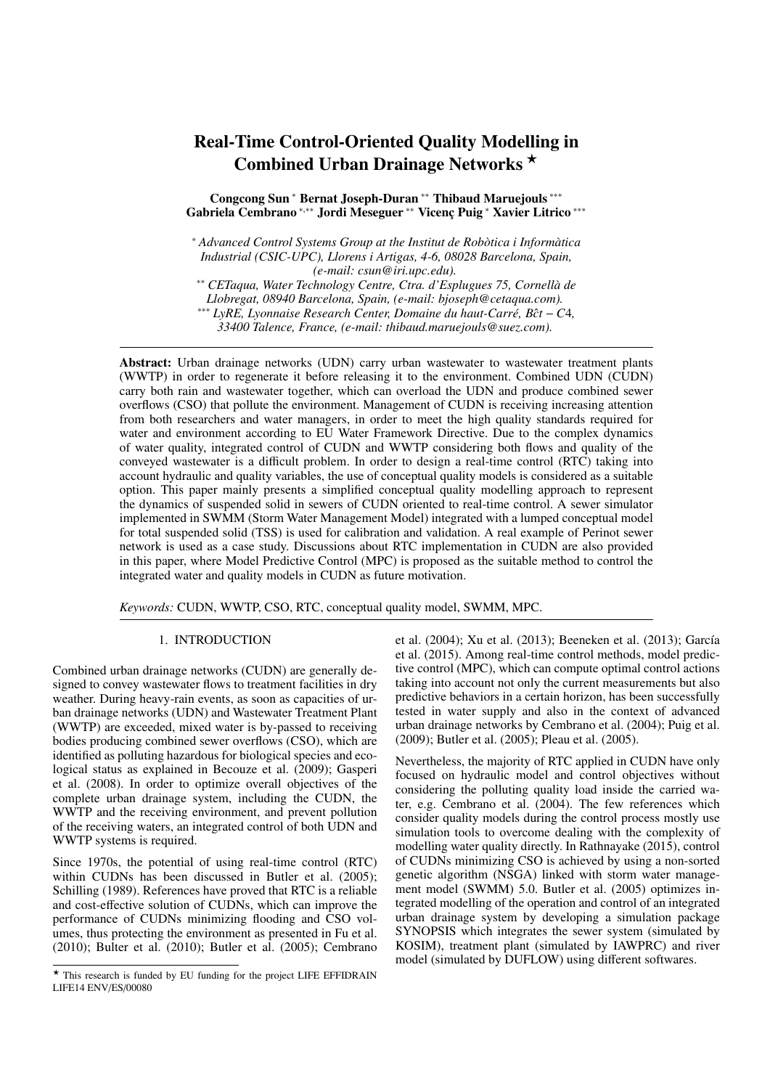# Real-Time Control-Oriented Quality Modelling in Combined Urban Drainage Networks?

Congcong Sun <sup>∗</sup> Bernat Joseph-Duran ∗∗ Thibaud Maruejouls ∗∗∗ Gabriela Cembrano \*,\*\* Jordi Meseguer \*\* Vicenç Puig \* Xavier Litrico \*\*\*

<sup>∗</sup> *Advanced Control Systems Group at the Institut de Rob `otica i Inform `atica Industrial (CSIC-UPC), Llorens i Artigas, 4-6, 08028 Barcelona, Spain, (e-mail: csun@iri.upc.edu).*

∗∗ *CETaqua, Water Technology Centre, Ctra. d'Esplugues 75, Cornell `a de*

*Llobregat, 08940 Barcelona, Spain, (e-mail: bjoseph@cetaqua.com).*

 $***$  *LyRE*, *Lyonnaise Research Center, Domaine du haut-Carré, Bĉt* − *C*4,

*33400 Talence, France, (e-mail: thibaud.maruejouls@suez.com).*

Abstract: Urban drainage networks (UDN) carry urban wastewater to wastewater treatment plants (WWTP) in order to regenerate it before releasing it to the environment. Combined UDN (CUDN) carry both rain and wastewater together, which can overload the UDN and produce combined sewer overflows (CSO) that pollute the environment. Management of CUDN is receiving increasing attention from both researchers and water managers, in order to meet the high quality standards required for water and environment according to EU Water Framework Directive. Due to the complex dynamics of water quality, integrated control of CUDN and WWTP considering both flows and quality of the conveyed wastewater is a difficult problem. In order to design a real-time control (RTC) taking into account hydraulic and quality variables, the use of conceptual quality models is considered as a suitable option. This paper mainly presents a simplified conceptual quality modelling approach to represent the dynamics of suspended solid in sewers of CUDN oriented to real-time control. A sewer simulator implemented in SWMM (Storm Water Management Model) integrated with a lumped conceptual model for total suspended solid (TSS) is used for calibration and validation. A real example of Perinot sewer network is used as a case study. Discussions about RTC implementation in CUDN are also provided in this paper, where Model Predictive Control (MPC) is proposed as the suitable method to control the integrated water and quality models in CUDN as future motivation.

*Keywords:* CUDN, WWTP, CSO, RTC, conceptual quality model, SWMM, MPC.

# 1. INTRODUCTION

Combined urban drainage networks (CUDN) are generally designed to convey wastewater flows to treatment facilities in dry weather. During heavy-rain events, as soon as capacities of urban drainage networks (UDN) and Wastewater Treatment Plant (WWTP) are exceeded, mixed water is by-passed to receiving bodies producing combined sewer overflows (CSO), which are identified as polluting hazardous for biological species and ecological status as explained in Becouze et al. (2009); Gasperi et al. (2008). In order to optimize overall objectives of the complete urban drainage system, including the CUDN, the WWTP and the receiving environment, and prevent pollution of the receiving waters, an integrated control of both UDN and WWTP systems is required.

Since 1970s, the potential of using real-time control (RTC) within CUDNs has been discussed in Butler et al. (2005); Schilling (1989). References have proved that RTC is a reliable and cost-effective solution of CUDNs, which can improve the performance of CUDNs minimizing flooding and CSO volumes, thus protecting the environment as presented in Fu et al. (2010); Bulter et al. (2010); Butler et al. (2005); Cembrano

et al. (2004); Xu et al. (2013); Beeneken et al. (2013); García et al. (2015). Among real-time control methods, model predictive control (MPC), which can compute optimal control actions taking into account not only the current measurements but also predictive behaviors in a certain horizon, has been successfully tested in water supply and also in the context of advanced urban drainage networks by Cembrano et al. (2004); Puig et al. (2009); Butler et al. (2005); Pleau et al. (2005).

Nevertheless, the majority of RTC applied in CUDN have only focused on hydraulic model and control objectives without considering the polluting quality load inside the carried water, e.g. Cembrano et al. (2004). The few references which consider quality models during the control process mostly use simulation tools to overcome dealing with the complexity of modelling water quality directly. In Rathnayake (2015), control of CUDNs minimizing CSO is achieved by using a non-sorted genetic algorithm (NSGA) linked with storm water management model (SWMM) 5.0. Butler et al. (2005) optimizes integrated modelling of the operation and control of an integrated urban drainage system by developing a simulation package SYNOPSIS which integrates the sewer system (simulated by KOSIM), treatment plant (simulated by IAWPRC) and river model (simulated by DUFLOW) using different softwares.

 $\star$  This research is funded by EU funding for the project LIFE EFFIDRAIN LIFE14 ENV/ES/00080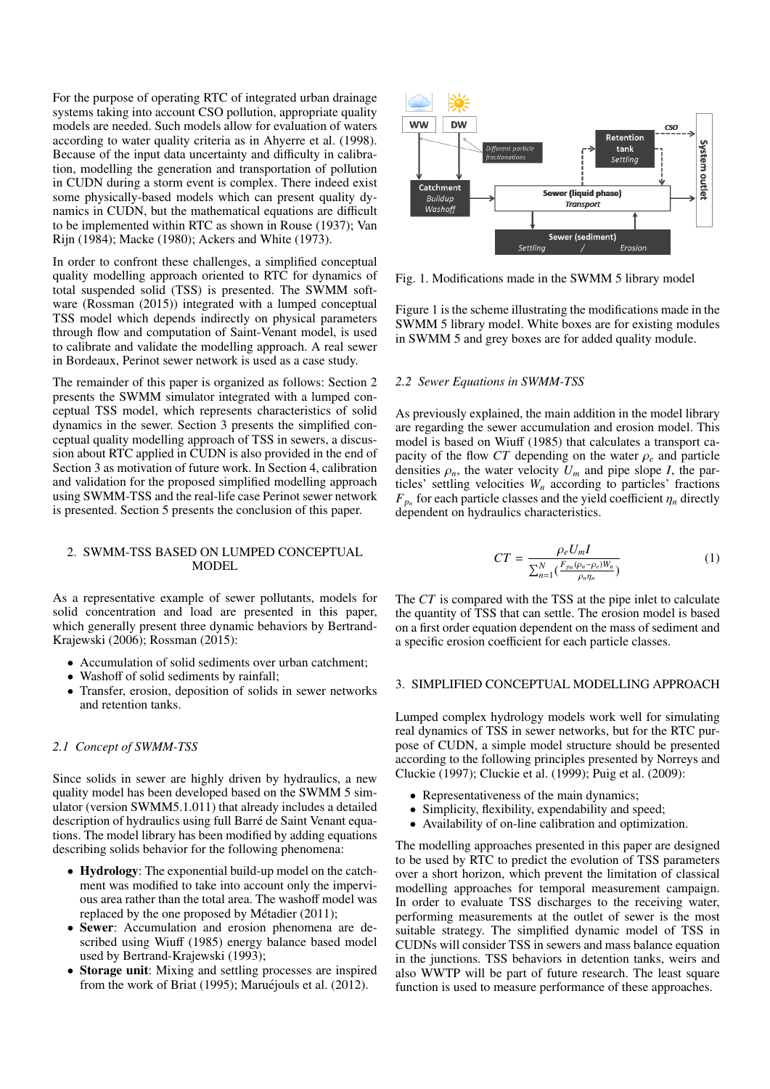For the purpose of operating RTC of integrated urban drainage systems taking into account CSO pollution, appropriate quality models are needed. Such models allow for evaluation of waters according to water quality criteria as in Ahyerre et al. (1998). Because of the input data uncertainty and difficulty in calibration, modelling the generation and transportation of pollution in CUDN during a storm event is complex. There indeed exist some physically-based models which can present quality dynamics in CUDN, but the mathematical equations are difficult to be implemented within RTC as shown in Rouse (1937); Van Rijn (1984); Macke (1980); Ackers and White (1973).

In order to confront these challenges, a simplified conceptual quality modelling approach oriented to RTC for dynamics of total suspended solid (TSS) is presented. The SWMM software (Rossman (2015)) integrated with a lumped conceptual TSS model which depends indirectly on physical parameters through flow and computation of Saint-Venant model, is used to calibrate and validate the modelling approach. A real sewer in Bordeaux, Perinot sewer network is used as a case study.

The remainder of this paper is organized as follows: Section 2 presents the SWMM simulator integrated with a lumped conceptual TSS model, which represents characteristics of solid dynamics in the sewer. Section 3 presents the simplified conceptual quality modelling approach of TSS in sewers, a discussion about RTC applied in CUDN is also provided in the end of Section 3 as motivation of future work. In Section 4, calibration and validation for the proposed simplified modelling approach using SWMM-TSS and the real-life case Perinot sewer network is presented. Section 5 presents the conclusion of this paper.

## 2. SWMM-TSS BASED ON LUMPED CONCEPTUAL MODEL

As a representative example of sewer pollutants, models for solid concentration and load are presented in this paper, which generally present three dynamic behaviors by Bertrand-Krajewski (2006); Rossman (2015):

- Accumulation of solid sediments over urban catchment;
- Washoff of solid sediments by rainfall;
- Transfer, erosion, deposition of solids in sewer networks and retention tanks.

# *2.1 Concept of SWMM-TSS*

Since solids in sewer are highly driven by hydraulics, a new quality model has been developed based on the SWMM 5 simulator (version SWMM5.1.011) that already includes a detailed description of hydraulics using full Barré de Saint Venant equations. The model library has been modified by adding equations describing solids behavior for the following phenomena:

- Hydrology: The exponential build-up model on the catchment was modified to take into account only the impervious area rather than the total area. The washoff model was replaced by the one proposed by Métadier (2011);
- Sewer: Accumulation and erosion phenomena are described using Wiuff (1985) energy balance based model used by Bertrand-Krajewski (1993);
- Storage unit: Mixing and settling processes are inspired from the work of Briat (1995); Maruéjouls et al. (2012).



Fig. 1. Modifications made in the SWMM 5 library model

Figure 1 is the scheme illustrating the modifications made in the SWMM 5 library model. White boxes are for existing modules in SWMM 5 and grey boxes are for added quality module.

## *2.2 Sewer Equations in SWMM-TSS*

As previously explained, the main addition in the model library are regarding the sewer accumulation and erosion model. This model is based on Wiuff (1985) that calculates a transport capacity of the flow  $CT$  depending on the water  $\rho_e$  and particle densities  $\rho_n$ , the water velocity  $U_m$  and pipe slope *I*, the particles' settling velocities  $W_n$  according to particles' fractions  $F_{p_n}$  for each particle classes and the yield coefficient  $\eta_n$  directly dependent on hydraulics characteristics dependent on hydraulics characteristics.

$$
CT = \frac{\rho_e U_m I}{\sum_{n=1}^{N} \left( \frac{F_{p_n}(\rho_n - \rho_e) W_n}{\rho_n \eta_n} \right)}
$$
(1)

The *CT* is compared with the TSS at the pipe inlet to calculate the quantity of TSS that can settle. The erosion model is based on a first order equation dependent on the mass of sediment and a specific erosion coefficient for each particle classes.

## 3. SIMPLIFIED CONCEPTUAL MODELLING APPROACH

Lumped complex hydrology models work well for simulating real dynamics of TSS in sewer networks, but for the RTC purpose of CUDN, a simple model structure should be presented according to the following principles presented by Norreys and Cluckie (1997); Cluckie et al. (1999); Puig et al. (2009):

- Representativeness of the main dynamics;
- Simplicity, flexibility, expendability and speed;
- Availability of on-line calibration and optimization.

The modelling approaches presented in this paper are designed to be used by RTC to predict the evolution of TSS parameters over a short horizon, which prevent the limitation of classical modelling approaches for temporal measurement campaign. In order to evaluate TSS discharges to the receiving water, performing measurements at the outlet of sewer is the most suitable strategy. The simplified dynamic model of TSS in CUDNs will consider TSS in sewers and mass balance equation in the junctions. TSS behaviors in detention tanks, weirs and also WWTP will be part of future research. The least square function is used to measure performance of these approaches.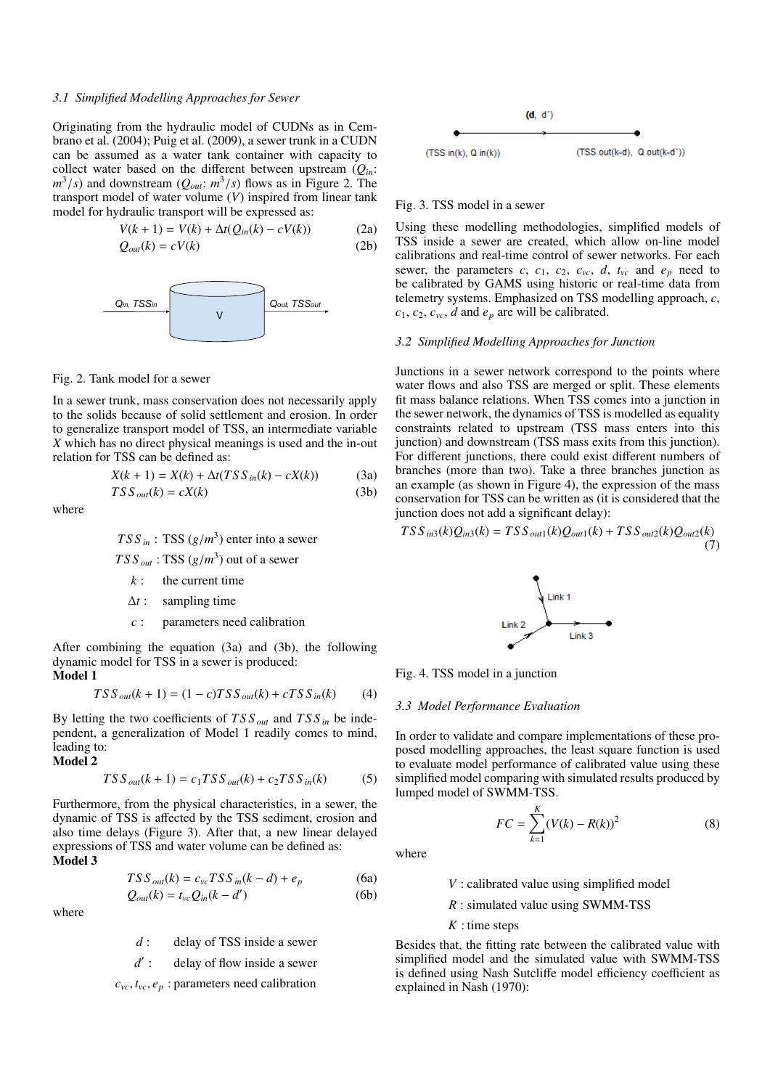# *3.1 Simplified Modelling Approaches for Sewer*

Originating from the hydraulic model of CUDNs as in Cembrano et al. (2004); Puig et al. (2009), a sewer trunk in a CUDN can be assumed as a water tank container with capacity to collect water based on the different between upstream  $(Q_{in})$ :  $(m^3/s)$  and downstream  $(Q_{out}: m^3/s)$  flows as in Figure 2. The transport model of water volume (V) inspired from linear tank transport model of water volume (*V*) inspired from linear tank model for hydraulic transport will be expressed as:

$$
V(k + 1) = V(k) + \Delta t (Q_{in}(k) - cV(k))
$$
 (2a)

$$
Q_{out}(k) = cV(k) \tag{2b}
$$



Fig. 2. Tank model for a sewer

In a sewer trunk, mass conservation does not necessarily apply to the solids because of solid settlement and erosion. In order to generalize transport model of TSS, an intermediate variable *X* which has no direct physical meanings is used and the in-out relation for TSS can be defined as:

$$
X(k + 1) = X(k) + \Delta t(TSS_{in}(k) - cX(k))
$$
 (3a)  
\n
$$
TSS_{out}(k) = cX(k)
$$
 (3b)

where

$$
TSS_{in}
$$
: TSS  $(g/m^3)$  enter into a severe

 $TSS_{out}$ : TSS  $(g/m^3)$  out of a sewer

- *k* : the current time
- ∆*t* : sampling time
- *c* : parameters need calibration

After combining the equation (3a) and (3b), the following dynamic model for TSS in a sewer is produced: Model 1

$$
TSS_{out}(k+1) = (1-c)TSS_{out}(k) + cTSS_{in}(k)
$$
 (4)

By letting the two coefficients of *T S S out* and *T S S in* be independent, a generalization of Model 1 readily comes to mind, leading to:

Model 2

$$
TSS_{out}(k+1) = c_1 TSS_{out}(k) + c_2 TSS_{in}(k)
$$
 (5)

Furthermore, from the physical characteristics, in a sewer, the dynamic of TSS is affected by the TSS sediment, erosion and also time delays (Figure 3). After that, a new linear delayed expressions of TSS and water volume can be defined as:  $\overrightarrow{M_{\rm odd}}$  3

$$
1
$$

$$
TSS_{out}(k) = c_{vc} TSS_{in}(k-d) + e_p \tag{6a}
$$

$$
Q_{out}(k) = t_{vc} Q_{in}(k - d')
$$
 (6b)

where

*d* : delay of TSS inside a sewer

*d* 0 delay of flow inside a sewer

 $c_{vc}$ ,  $t_{vc}$ ,  $e_p$ : parameters need calibration



# Fig. 3. TSS model in a sewer

Using these modelling methodologies, simplified models of TSS inside a sewer are created, which allow on-line model calibrations and real-time control of sewer networks. For each sewer, the parameters  $c$ ,  $c_1$ ,  $c_2$ ,  $c_{vc}$ ,  $d$ ,  $t_{vc}$  and  $e_p$  need to be calibrated by GAMS using historic or real-time data from telemetry systems. Emphasized on TSS modelling approach, *c*,  $c_1$ ,  $c_2$ ,  $c_{vc}$ , *d* and  $e_p$  are will be calibrated.

## *3.2 Simplified Modelling Approaches for Junction*

Junctions in a sewer network correspond to the points where water flows and also TSS are merged or split. These elements fit mass balance relations. When TSS comes into a junction in the sewer network, the dynamics of TSS is modelled as equality constraints related to upstream (TSS mass enters into this junction) and downstream (TSS mass exits from this junction). For different junctions, there could exist different numbers of branches (more than two). Take a three branches junction as an example (as shown in Figure 4), the expression of the mass conservation for TSS can be written as (it is considered that the junction does not add a significant delay):

$$
TSS_{in3}(k)Q_{in3}(k) = TSS_{out1}(k)Q_{out1}(k) + TSS_{out2}(k)Q_{out2}(k)
$$
\n(7)



Fig. 4. TSS model in a junction

#### *3.3 Model Performance Evaluation*

In order to validate and compare implementations of these proposed modelling approaches, the least square function is used to evaluate model performance of calibrated value using these simplified model comparing with simulated results produced by lumped model of SWMM-TSS.

$$
FC = \sum_{k=1}^{K} (V(k) - R(k))^2
$$
 (8)

where

*V* : calibrated value using simplified model

*R* : simulated value using SWMM-TSS

*K* : time steps

Besides that, the fitting rate between the calibrated value with simplified model and the simulated value with SWMM-TSS is defined using Nash Sutcliffe model efficiency coefficient as explained in Nash (1970):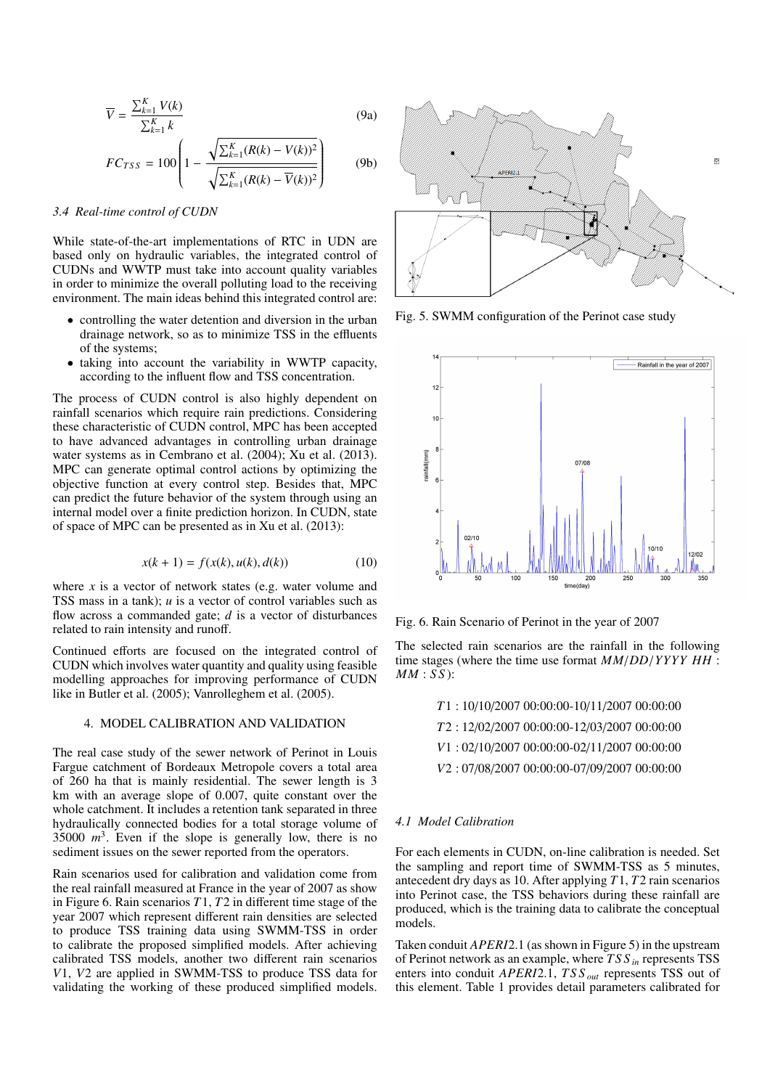$$
\overline{V} = \frac{\sum_{k=1}^{K} V(k)}{\sum_{k=1}^{K} k}
$$
(9a)

$$
FC_{TSS} = 100 \left( 1 - \frac{\sqrt{\sum_{k=1}^{K} (R(k) - V(k))^{2}}}{\sqrt{\sum_{k=1}^{K} (R(k) - V(k))^{2}}} \right)
$$
(9b)

## *3.4 Real-time control of CUDN*

While state-of-the-art implementations of RTC in UDN are based only on hydraulic variables, the integrated control of CUDNs and WWTP must take into account quality variables in order to minimize the overall polluting load to the receiving environment. The main ideas behind this integrated control are:

- controlling the water detention and diversion in the urban drainage network, so as to minimize TSS in the effluents of the systems;
- taking into account the variability in WWTP capacity, according to the influent flow and TSS concentration.

The process of CUDN control is also highly dependent on rainfall scenarios which require rain predictions. Considering these characteristic of CUDN control, MPC has been accepted to have advanced advantages in controlling urban drainage water systems as in Cembrano et al. (2004); Xu et al. (2013). MPC can generate optimal control actions by optimizing the objective function at every control step. Besides that, MPC can predict the future behavior of the system through using an internal model over a finite prediction horizon. In CUDN, state of space of MPC can be presented as in Xu et al. (2013):

$$
x(k + 1) = f(x(k), u(k), d(k))
$$
 (10)

where *x* is a vector of network states (e.g. water volume and TSS mass in a tank); *u* is a vector of control variables such as flow across a commanded gate; *d* is a vector of disturbances related to rain intensity and runoff.

Continued efforts are focused on the integrated control of CUDN which involves water quantity and quality using feasible modelling approaches for improving performance of CUDN like in Butler et al. (2005); Vanrolleghem et al. (2005).

## 4. MODEL CALIBRATION AND VALIDATION

The real case study of the sewer network of Perinot in Louis Fargue catchment of Bordeaux Metropole covers a total area of 260 ha that is mainly residential. The sewer length is 3 km with an average slope of 0.007, quite constant over the whole catchment. It includes a retention tank separated in three hydraulically connected bodies for a total storage volume of  $35000 \, m^3$ . Even if the slope is generally low, there is no sediment issues on the sewer reported from the operators.

Rain scenarios used for calibration and validation come from the real rainfall measured at France in the year of 2007 as show in Figure 6. Rain scenarios *T*1, *T*2 in different time stage of the year 2007 which represent different rain densities are selected to produce TSS training data using SWMM-TSS in order to calibrate the proposed simplified models. After achieving calibrated TSS models, another two different rain scenarios *V*1, *V*2 are applied in SWMM-TSS to produce TSS data for validating the working of these produced simplified models.



Fig. 5. SWMM configuration of the Perinot case study



Fig. 6. Rain Scenario of Perinot in the year of 2007

The selected rain scenarios are the rainfall in the following time stages (where the time use format *MM*/*DD*/*YYYY HH* : *MM* : *S S* ):

|  | $T1:10/10/200700:00:00-10/11/200700:00:00$    |  |
|--|-----------------------------------------------|--|
|  | 72:12/02/2007 00:00:00-12/03/2007 00:00:00    |  |
|  | $V1: 02/10/2007 00:00:00-02/11/2007 00:00:00$ |  |
|  | V2:07/08/2007 00:00:00-07/09/2007 00:00:00    |  |
|  |                                               |  |

## *4.1 Model Calibration*

For each elements in CUDN, on-line calibration is needed. Set the sampling and report time of SWMM-TSS as 5 minutes, antecedent dry days as 10. After applying *T*1, *T*2 rain scenarios into Perinot case, the TSS behaviors during these rainfall are produced, which is the training data to calibrate the conceptual models.

Taken conduit *APERI*2.1 (as shown in Figure 5) in the upstream of Perinot network as an example, where *T S S in* represents TSS enters into conduit *APERI*2.1, *T S S out* represents TSS out of this element. Table 1 provides detail parameters calibrated for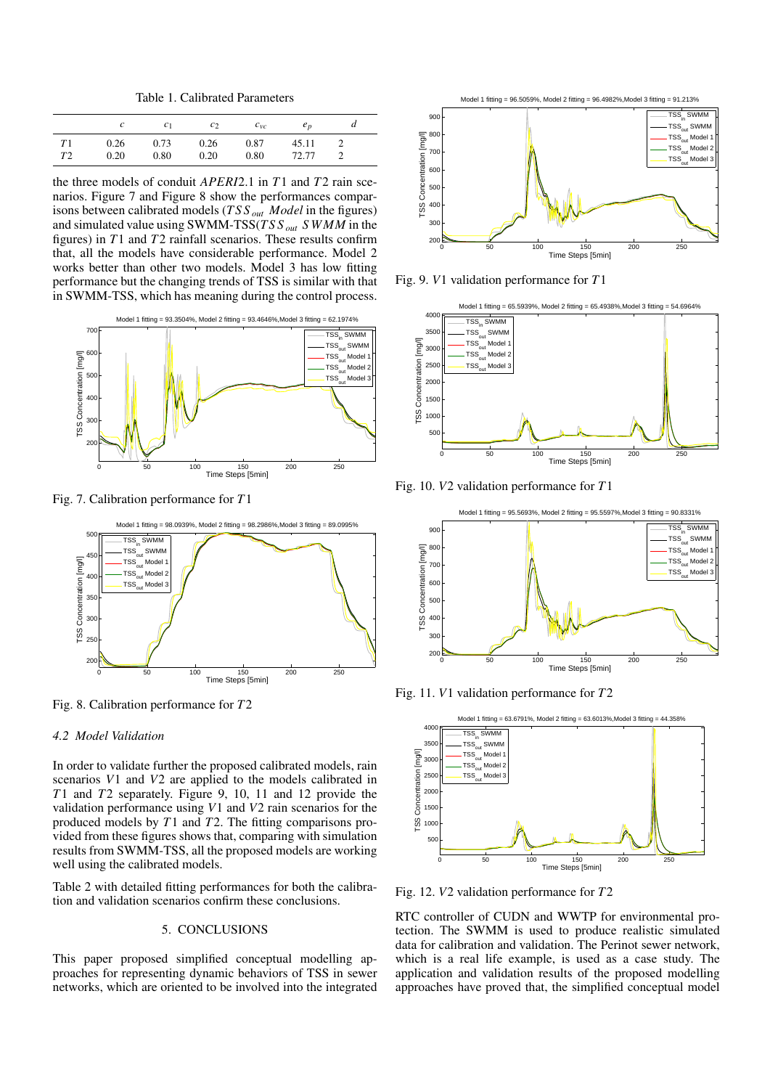Table 1. Calibrated Parameters

|                |      | c <sub>1</sub> | c <sub>2</sub> | $c_{\nu c}$ | e <sub>n</sub> |  |
|----------------|------|----------------|----------------|-------------|----------------|--|
| T <sub>1</sub> | 0.26 | 0.73           | 0.26           | 0.87        | 45.11          |  |
| T2             | 0.20 | 0.80           | 0.20           | 0.80        | 72.77          |  |

the three models of conduit *APERI*2.1 in *<sup>T</sup>*1 and *<sup>T</sup>*2 rain scenarios. Figure 7 and Figure 8 show the performances comparisons between calibrated models (*T S S out Model* in the figures) and simulated value using SWMM-TSS(*T S S out S WMM* in the figures) in *T*1 and *T*2 rainfall scenarios. These results confirm that, all the models have considerable performance. Model 2 works better than other two models. Model 3 has low fitting performance but the changing trends of TSS is similar with that in SWMM-TSS, which has meaning during the control process.



Fig. 7. Calibration performance for *T*1



Fig. 8. Calibration performance for *T*2

## *4.2 Model Validation*

In order to validate further the proposed calibrated models, rain scenarios *V*1 and *V*2 are applied to the models calibrated in *T*1 and *T*2 separately. Figure 9, 10, 11 and 12 provide the validation performance using *V*1 and *V*2 rain scenarios for the produced models by *T*1 and *T*2. The fitting comparisons provided from these figures shows that, comparing with simulation results from SWMM-TSS, all the proposed models are working well using the calibrated models.

Table 2 with detailed fitting performances for both the calibration and validation scenarios confirm these conclusions.

# 5. CONCLUSIONS

This paper proposed simplified conceptual modelling approaches for representing dynamic behaviors of TSS in sewer networks, which are oriented to be involved into the integrated



Fig. 9. *V*1 validation performance for *T*1



Fig. 10. *V*2 validation performance for *T*1



Fig. 11. *V*1 validation performance for *T*2



Fig. 12. *V*2 validation performance for *T*2

RTC controller of CUDN and WWTP for environmental protection. The SWMM is used to produce realistic simulated data for calibration and validation. The Perinot sewer network, which is a real life example, is used as a case study. The application and validation results of the proposed modelling approaches have proved that, the simplified conceptual model